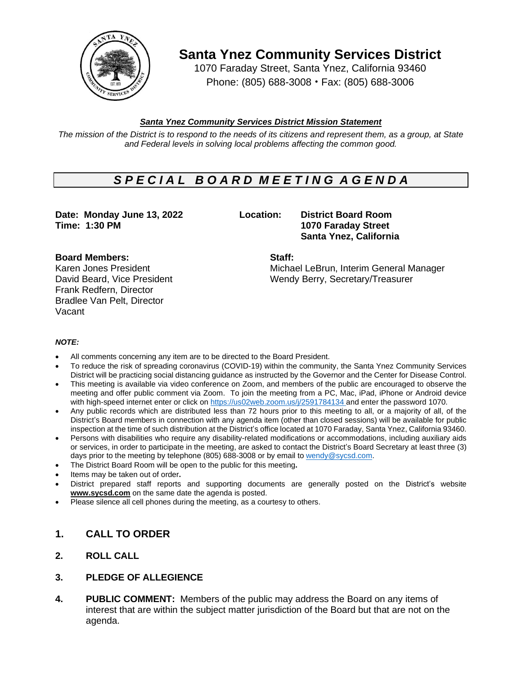

**Santa Ynez Community Services District**

1070 Faraday Street, Santa Ynez, California 93460 Phone: (805) 688-3008 • Fax: (805) 688-3006

# *Santa Ynez Community Services District Mission Statement*

The mission of the District is to respond to the needs of its citizens and represent them, as a group, at State *and Federal levels in solving local problems affecting the common good.*

# *S P E C I A L B O A R D M E E T I N G A G E N D A*

**Date: Monday June 13, 2022 Location: District Board Room Time: 1:30 PM 1070 Faraday Street**

**Santa Ynez, California**

# **Board Members: Staff:**

Frank Redfern, Director Bradlee Van Pelt, Director Vacant

Karen Jones President Michael LeBrun, Interim General Manager David Beard, Vice President Wendy Berry, Secretary/Treasurer

### *NOTE:*

- All comments concerning any item are to be directed to the Board President.
- To reduce the risk of spreading coronavirus (COVID-19) within the community, the Santa Ynez Community Services District will be practicing social distancing guidance as instructed by the Governor and the Center for Disease Control.
- This meeting is available via video conference on Zoom, and members of the public are encouraged to observe the meeting and offer public comment via Zoom. To join the meeting from a PC, Mac, iPad, iPhone or Android device with high-speed internet enter or click on [https://us02web.zoom.us/j/2](https://us02web.zoom.us/j/)591784134 and enter the password 1070.
- Any public records which are distributed less than 72 hours prior to this meeting to all, or a majority of all, of the District's Board members in connection with any agenda item (other than closed sessions) will be available for public inspection at the time of such distribution at the District's office located at 1070 Faraday, Santa Ynez, California 93460.
- Persons with disabilities who require any disability-related modifications or accommodations, including auxiliary aids or services, in order to participate in the meeting, are asked to contact the District's Board Secretary at least three (3) days prior to the meeting by telephone (805) 688-3008 or by email to [wendy@sycsd.com.](mailto:wendy@sycsd.com)
- The District Board Room will be open to the public for this meeting**.**
- Items may be taken out of order**.**
- District prepared staff reports and supporting documents are generally posted on the District's website **[www.sycsd.com](http://www.sycsd.com/)** on the same date the agenda is posted.
- Please silence all cell phones during the meeting, as a courtesy to others.

# **1. CALL TO ORDER**

**2. ROLL CALL**

# **3. PLEDGE OF ALLEGIENCE**

**4. PUBLIC COMMENT:** Members of the public may address the Board on any items of interest that are within the subject matter jurisdiction of the Board but that are not on the agenda.